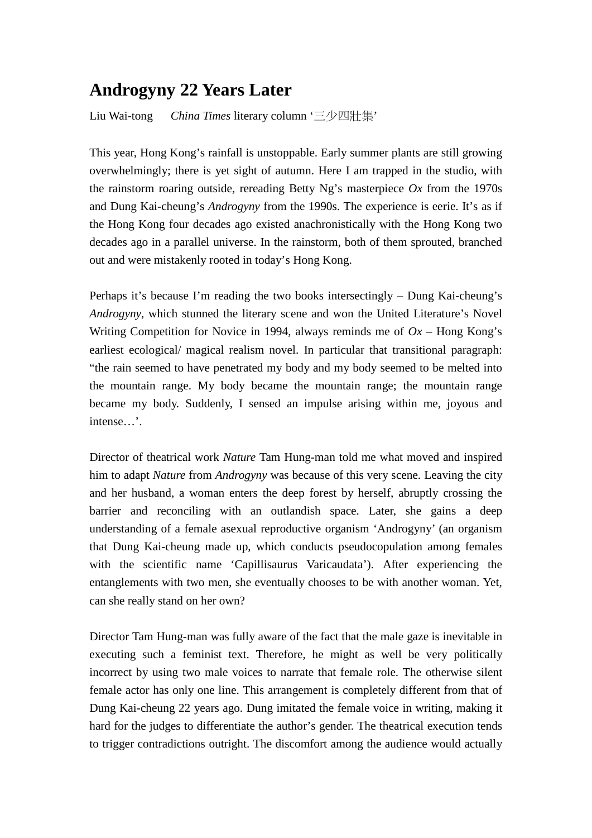## **Androgyny 22 Years Later**

Liu Wai-tong *China Times* literary column '三少四壯集'

This year, Hong Kong's rainfall is unstoppable. Early summer plants are still growing overwhelmingly; there is yet sight of autumn. Here I am trapped in the studio, with the rainstorm roaring outside, rereading Betty Ng's masterpiece *Ox* from the 1970s and Dung Kai-cheung's *Androgyny* from the 1990s. The experience is eerie. It's as if the Hong Kong four decades ago existed anachronistically with the Hong Kong two decades ago in a parallel universe. In the rainstorm, both of them sprouted, branched out and were mistakenly rooted in today's Hong Kong.

Perhaps it's because I'm reading the two books intersectingly – Dung Kai-cheung's *Androgyny*, which stunned the literary scene and won the United Literature's Novel Writing Competition for Novice in 1994, always reminds me of  $Ox$  – Hong Kong's earliest ecological/ magical realism novel. In particular that transitional paragraph: "the rain seemed to have penetrated my body and my body seemed to be melted into the mountain range. My body became the mountain range; the mountain range became my body. Suddenly, I sensed an impulse arising within me, joyous and intense…'.

Director of theatrical work *Nature* Tam Hung-man told me what moved and inspired him to adapt *Nature* from *Androgyny* was because of this very scene. Leaving the city and her husband, a woman enters the deep forest by herself, abruptly crossing the barrier and reconciling with an outlandish space. Later, she gains a deep understanding of a female asexual reproductive organism 'Androgyny' (an organism that Dung Kai-cheung made up, which conducts pseudocopulation among females with the scientific name 'Capillisaurus Varicaudata'). After experiencing the entanglements with two men, she eventually chooses to be with another woman. Yet, can she really stand on her own?

Director Tam Hung-man was fully aware of the fact that the male gaze is inevitable in executing such a feminist text. Therefore, he might as well be very politically incorrect by using two male voices to narrate that female role. The otherwise silent female actor has only one line. This arrangement is completely different from that of Dung Kai-cheung 22 years ago. Dung imitated the female voice in writing, making it hard for the judges to differentiate the author's gender. The theatrical execution tends to trigger contradictions outright. The discomfort among the audience would actually